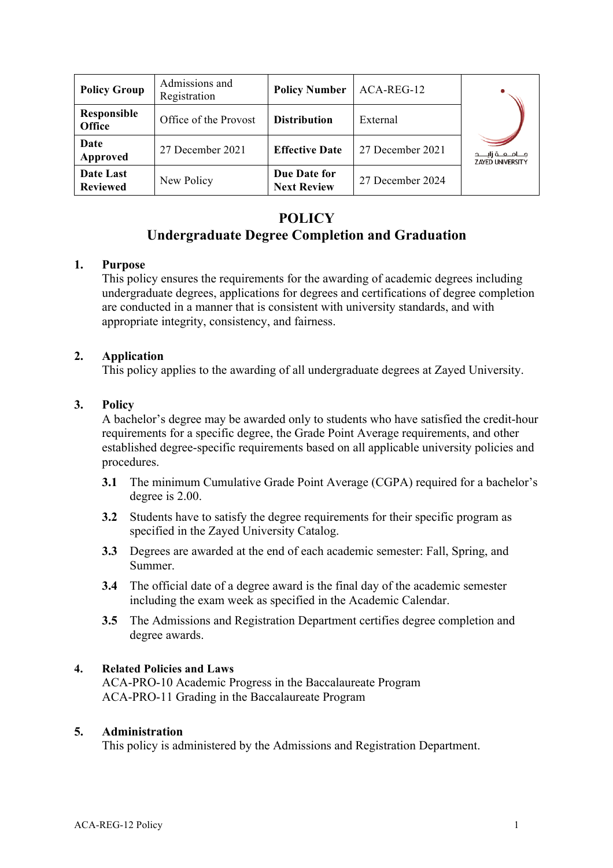| <b>Policy Group</b>          | Admissions and<br>Registration | <b>Policy Number</b>               | ACA-REG-12       |                                                  |
|------------------------------|--------------------------------|------------------------------------|------------------|--------------------------------------------------|
| Responsible<br><b>Office</b> | Office of the Provost          | <b>Distribution</b>                | External         |                                                  |
| Date<br>Approved             | 27 December 2021               | <b>Effective Date</b>              | 27 December 2021 | مـــامــــه زايـــــد<br><b>ZAYED UNIVERSITY</b> |
| Date Last<br><b>Reviewed</b> | New Policy                     | Due Date for<br><b>Next Review</b> | 27 December 2024 |                                                  |

# **POLICY Undergraduate Degree Completion and Graduation**

# **1. Purpose**

This policy ensures the requirements for the awarding of academic degrees including undergraduate degrees, applications for degrees and certifications of degree completion are conducted in a manner that is consistent with university standards, and with appropriate integrity, consistency, and fairness.

# **2. Application**

This policy applies to the awarding of all undergraduate degrees at Zayed University.

# **3. Policy**

A bachelor's degree may be awarded only to students who have satisfied the credit-hour requirements for a specific degree, the Grade Point Average requirements, and other established degree-specific requirements based on all applicable university policies and procedures.

- **3.1** The minimum Cumulative Grade Point Average (CGPA) required for a bachelor's degree is 2.00.
- **3.2** Students have to satisfy the degree requirements for their specific program as specified in the Zayed University Catalog.
- **3.3** Degrees are awarded at the end of each academic semester: Fall, Spring, and Summer.
- **3.4** The official date of a degree award is the final day of the academic semester including the exam week as specified in the Academic Calendar.
- **3.5** The Admissions and Registration Department certifies degree completion and degree awards.

### **4. Related Policies and Laws**

ACA-PRO-10 Academic Progress in the Baccalaureate Program ACA-PRO-11 Grading in the Baccalaureate Program

### **5. Administration**

This policy is administered by the Admissions and Registration Department.